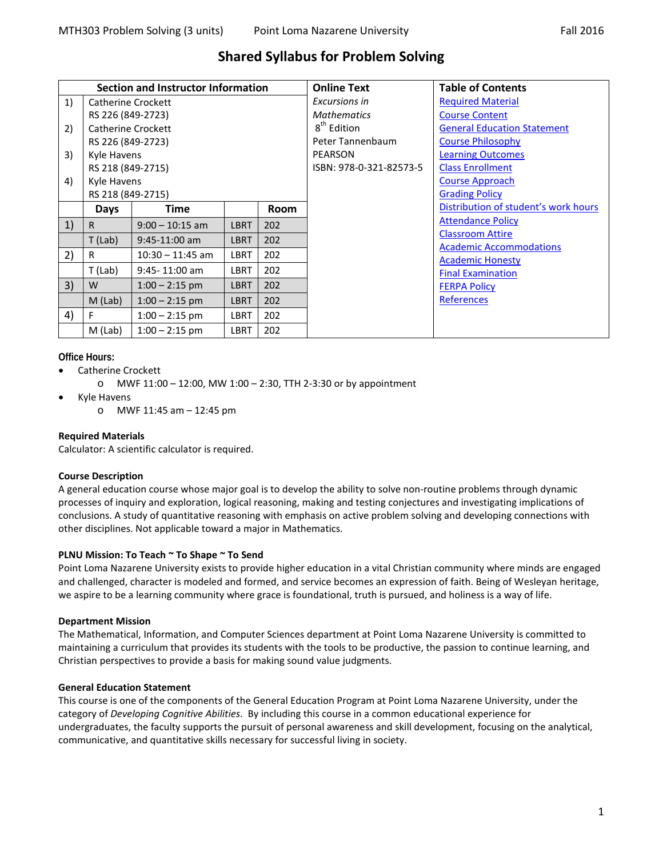# **Shared Syllabus for Problem Solving**

| Section and Instructor Information |                           |                           |             |             | <b>Online Text</b>      | <b>Table of Contents</b>             |
|------------------------------------|---------------------------|---------------------------|-------------|-------------|-------------------------|--------------------------------------|
| 1)                                 |                           | <b>Catherine Crockett</b> |             |             | Excursions in           | <b>Required Material</b>             |
|                                    | RS 226 (849-2723)         |                           |             |             | <b>Mathematics</b>      | <b>Course Content</b>                |
| 2)                                 | <b>Catherine Crockett</b> |                           |             |             | 8 <sup>th</sup> Edition | <b>General Education Statement</b>   |
|                                    | RS 226 (849-2723)         |                           |             |             | Peter Tannenbaum        | <b>Course Philosophy</b>             |
| 3)                                 | Kyle Havens               |                           |             |             | <b>PEARSON</b>          | <b>Learning Outcomes</b>             |
|                                    | RS 218 (849-2715)         |                           |             |             | ISBN: 978-0-321-82573-5 | <b>Class Enrollment</b>              |
| 4)                                 | Kyle Havens               |                           |             |             |                         | <b>Course Approach</b>               |
|                                    | RS 218 (849-2715)         |                           |             |             |                         | <b>Grading Policy</b>                |
|                                    | Days                      | Time                      |             | <b>Room</b> |                         | Distribution of student's work hours |
| 1)                                 | R.                        | $9:00 - 10:15$ am         | <b>LBRT</b> | 202         |                         | <b>Attendance Policy</b>             |
|                                    | $T$ (Lab)                 | $9:45-11:00$ am           | <b>LBRT</b> | 202         |                         | <b>Classroom Attire</b>              |
| 2)                                 | R                         | $10:30 - 11:45$ am        | <b>LBRT</b> | 202         |                         | <b>Academic Accommodations</b>       |
|                                    | T (Lab)                   | 9:45-11:00 am             | LBRT        | 202         |                         | <b>Academic Honesty</b>              |
|                                    |                           |                           |             |             |                         | <b>Final Examination</b>             |
| 3)                                 | W                         | $1:00 - 2:15$ pm          | <b>LBRT</b> | 202         |                         | <b>FERPA Policy</b>                  |
|                                    | $M$ (Lab)                 | $1:00 - 2:15$ pm          | <b>LBRT</b> | 202         |                         | References                           |
| 4)                                 | F                         | $1:00 - 2:15$ pm          | <b>LBRT</b> | 202         |                         |                                      |
|                                    | $M$ (Lab)                 | $1:00 - 2:15$ pm          | LBRT        | 202         |                         |                                      |

**Office Hours:**

- Catherine Crockett
	- o MWF 11:00 12:00, MW 1:00 2:30, TTH 2-3:30 or by appointment
- Kyle Havens
	- o MWF 11:45 am 12:45 pm

# <span id="page-0-0"></span>**Required Materials**

Calculator: A scientific calculator is required.

# <span id="page-0-1"></span>**Course Description**

A general education course whose major goal is to develop the ability to solve non-routine problems through dynamic processes of inquiry and exploration, logical reasoning, making and testing conjectures and investigating implications of conclusions. A study of quantitative reasoning with emphasis on active problem solving and developing connections with other disciplines. Not applicable toward a major in Mathematics.

# **PLNU Mission: To Teach ~ To Shape ~ To Send**

Point Loma Nazarene University exists to provide higher education in a vital Christian community where minds are engaged and challenged, character is modeled and formed, and service becomes an expression of faith. Being of Wesleyan heritage, we aspire to be a learning community where grace is foundational, truth is pursued, and holiness is a way of life.

# **Department Mission**

The Mathematical, Information, and Computer Sciences department at Point Loma Nazarene University is committed to maintaining a curriculum that provides its students with the tools to be productive, the passion to continue learning, and Christian perspectives to provide a basis for making sound value judgments.

# <span id="page-0-2"></span>**General Education Statement**

This course is one of the components of the General Education Program at Point Loma Nazarene University, under the category of *Developing Cognitive Abilities*. By including this course in a common educational experience for undergraduates, the faculty supports the pursuit of personal awareness and skill development, focusing on the analytical, communicative, and quantitative skills necessary for successful living in society.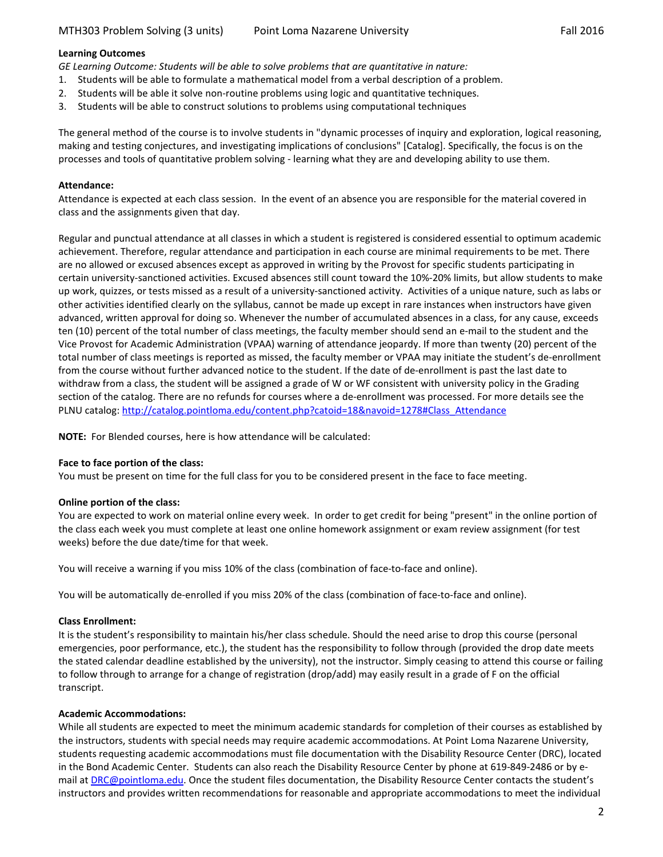### <span id="page-1-0"></span>**Learning Outcomes**

*GE Learning Outcome: Students will be able to solve problems that are quantitative in nature:*

- 1. Students will be able to formulate a mathematical model from a verbal description of a problem.
- 2. Students will be able it solve non-routine problems using logic and quantitative techniques.
- 3. Students will be able to construct solutions to problems using computational techniques

The general method of the course is to involve students in "dynamic processes of inquiry and exploration, logical reasoning, making and testing conjectures, and investigating implications of conclusions" [Catalog]. Specifically, the focus is on the processes and tools of quantitative problem solving - learning what they are and developing ability to use them.

## <span id="page-1-2"></span>**Attendance:**

Attendance is expected at each class session. In the event of an absence you are responsible for the material covered in class and the assignments given that day.

Regular and punctual attendance at all classes in which a student is registered is considered essential to optimum academic achievement. Therefore, regular attendance and participation in each course are minimal requirements to be met. There are no allowed or excused absences except as approved in writing by the Provost for specific students participating in certain university-sanctioned activities. Excused absences still count toward the 10%-20% limits, but allow students to make up work, quizzes, or tests missed as a result of a university-sanctioned activity. Activities of a unique nature, such as labs or other activities identified clearly on the syllabus, cannot be made up except in rare instances when instructors have given advanced, written approval for doing so. Whenever the number of accumulated absences in a class, for any cause, exceeds ten (10) percent of the total number of class meetings, the faculty member should send an e-mail to the student and the Vice Provost for Academic Administration (VPAA) warning of attendance jeopardy. If more than twenty (20) percent of the total number of class meetings is reported as missed, the faculty member or VPAA may initiate the student's de-enrollment from the course without further advanced notice to the student. If the date of de-enrollment is past the last date to withdraw from a class, the student will be assigned a grade of W or WF consistent with university policy in the Grading section of the catalog. There are no refunds for courses where a de-enrollment was processed. For more details see the PLNU catalog: [http://catalog.pointloma.edu/content.php?catoid=18&navoid=1278#Class\\_Attendance](http://catalog.pointloma.edu/content.php?catoid=18&navoid=1278#Class_Attendance)

**NOTE:** For Blended courses, here is how attendance will be calculated:

#### **Face to face portion of the class:**

You must be present on time for the full class for you to be considered present in the face to face meeting.

#### **Online portion of the class:**

You are expected to work on material online every week. In order to get credit for being "present" in the online portion of the class each week you must complete at least one online homework assignment or exam review assignment (for test weeks) before the due date/time for that week.

You will receive a warning if you miss 10% of the class (combination of face-to-face and online).

You will be automatically de-enrolled if you miss 20% of the class (combination of face-to-face and online).

# <span id="page-1-1"></span>**Class Enrollment:**

It is the student's responsibility to maintain his/her class schedule. Should the need arise to drop this course (personal emergencies, poor performance, etc.), the student has the responsibility to follow through (provided the drop date meets the stated calendar deadline established by the university), not the instructor. Simply ceasing to attend this course or failing to follow through to arrange for a change of registration (drop/add) may easily result in a grade of F on the official transcript.

#### <span id="page-1-3"></span>**Academic Accommodations:**

While all students are expected to meet the minimum academic standards for completion of their courses as established by the instructors, students with special needs may require academic accommodations. At Point Loma Nazarene University, students requesting academic accommodations must file documentation with the Disability Resource Center (DRC), located in the Bond Academic Center. Students can also reach the Disability Resource Center by phone at 619-849-2486 or by e-mail at [DRC@pointloma.edu.](mailto:DRC@pointloma.edu) Once the student files documentation, the Disability Resource Center contacts the student's instructors and provides written recommendations for reasonable and appropriate accommodations to meet the individual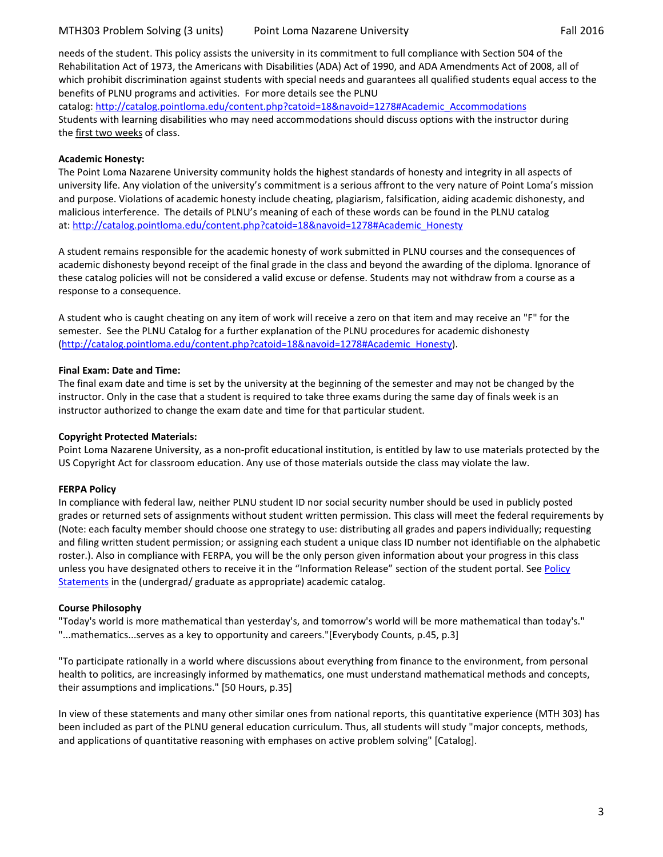needs of the student. This policy assists the university in its commitment to full compliance with Section 504 of the Rehabilitation Act of 1973, the Americans with Disabilities (ADA) Act of 1990, and ADA Amendments Act of 2008, all of which prohibit discrimination against students with special needs and guarantees all qualified students equal access to the benefits of PLNU programs and activities. For more details see the PLNU

catalog: http://catalog.pointloma.edu/content.php?catoid=18&navoid=1278#Academic\_Accommodations Students with learning disabilities who may need accommodations should discuss options with the instructor during the first two weeks of class.

## <span id="page-2-2"></span>**Academic Honesty:**

The Point Loma Nazarene University community holds the highest standards of honesty and integrity in all aspects of university life. Any violation of the university's commitment is a serious affront to the very nature of Point Loma's mission and purpose. Violations of academic honesty include cheating, plagiarism, falsification, aiding academic dishonesty, and malicious interference. The details of PLNU's meaning of each of these words can be found in the PLNU catalog at: [http://catalog.pointloma.edu/content.php?catoid=18&navoid=1278#Academic\\_Honesty](http://catalog.pointloma.edu/content.php?catoid=18&navoid=1278#Academic_Honesty)

A student remains responsible for the academic honesty of work submitted in PLNU courses and the consequences of academic dishonesty beyond receipt of the final grade in the class and beyond the awarding of the diploma. Ignorance of these catalog policies will not be considered a valid excuse or defense. Students may not withdraw from a course as a response to a consequence.

A student who is caught cheating on any item of work will receive a zero on that item and may receive an "F" for the semester. See the PLNU Catalog for a further explanation of the PLNU procedures for academic dishonesty [\(http://catalog.pointloma.edu/content.php?catoid=18&navoid=1278#Academic\\_Honesty\)](http://catalog.pointloma.edu/content.php?catoid=18&navoid=1278#Academic_Honesty).

## **Final Exam: Date and Time:**

The final exam date and time is set by the university at the beginning of the semester and may not be changed by the instructor. Only in the case that a student is required to take three exams during the same day of finals week is an instructor authorized to change the exam date and time for that particular student.

# **Copyright Protected Materials:**

Point Loma Nazarene University, as a non-profit educational institution, is entitled by law to use materials protected by the US Copyright Act for classroom education. Any use of those materials outside the class may violate the law.

# <span id="page-2-3"></span>**FERPA Policy**

In compliance with federal law, neither PLNU student ID nor social security number should be used in publicly posted grades or returned sets of assignments without student written permission. This class will meet the federal requirements by (Note: each faculty member should choose one strategy to use: distributing all grades and papers individually; requesting and filing written student permission; or assigning each student a unique class ID number not identifiable on the alphabetic roster.). Also in compliance with FERPA, you will be the only person given information about your progress in this class unless you have designated others to receive it in the "Information Release" section of the student portal. See Policy [Statements](http://www.pointloma.edu/experience/academics/catalogs/undergraduate-catalog/policy-statements) in the (undergrad/ graduate as appropriate) academic catalog.

#### <span id="page-2-0"></span>**Course Philosophy**

"Today's world is more mathematical than yesterday's, and tomorrow's world will be more mathematical than today's." "...mathematics...serves as a key to opportunity and careers."[Everybody Counts, p.45, p.3]

"To participate rationally in a world where discussions about everything from finance to the environment, from personal health to politics, are increasingly informed by mathematics, one must understand mathematical methods and concepts, their assumptions and implications." [50 Hours, p.35]

<span id="page-2-1"></span>In view of these statements and many other similar ones from national reports, this quantitative experience (MTH 303) has been included as part of the PLNU general education curriculum. Thus, all students will study "major concepts, methods, and applications of quantitative reasoning with emphases on active problem solving" [Catalog].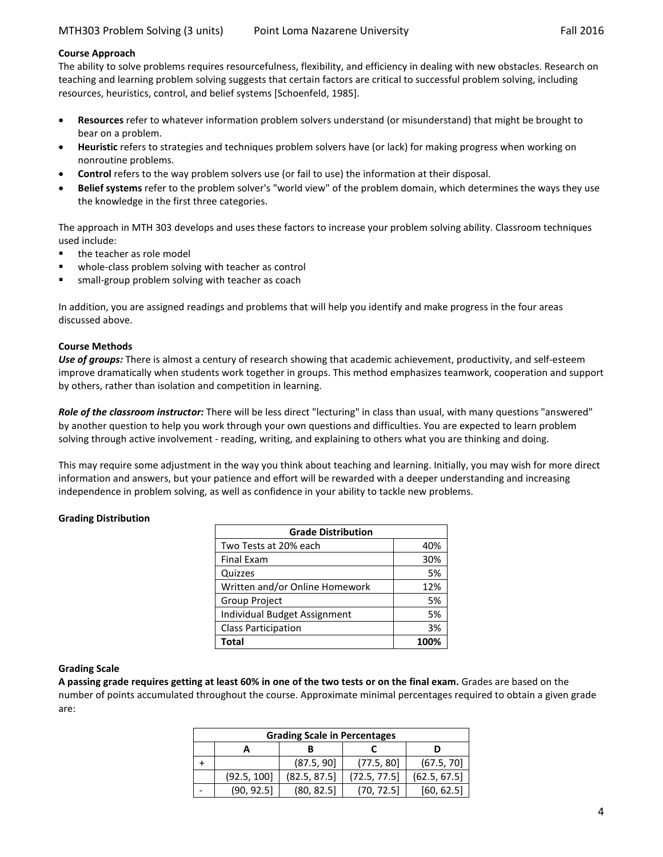## **Course Approach**

The ability to solve problems requires resourcefulness, flexibility, and efficiency in dealing with new obstacles. Research on teaching and learning problem solving suggests that certain factors are critical to successful problem solving, including resources, heuristics, control, and belief systems [Schoenfeld, 1985].

- **Resources** refer to whatever information problem solvers understand (or misunderstand) that might be brought to bear on a problem.
- **Heuristic** refers to strategies and techniques problem solvers have (or lack) for making progress when working on nonroutine problems.
- **Control** refers to the way problem solvers use (or fail to use) the information at their disposal.
- **Belief systems** refer to the problem solver's "world view" of the problem domain, which determines the ways they use the knowledge in the first three categories.

The approach in MTH 303 develops and uses these factors to increase your problem solving ability. Classroom techniques used include:

- **the teacher as role model**
- whole-class problem solving with teacher as control
- small-group problem solving with teacher as coach

In addition, you are assigned readings and problems that will help you identify and make progress in the four areas discussed above.

#### **Course Methods**

*Use of groups:* There is almost a century of research showing that academic achievement, productivity, and self-esteem improve dramatically when students work together in groups. This method emphasizes teamwork, cooperation and support by others, rather than isolation and competition in learning.

*Role of the classroom instructor:* There will be less direct "lecturing" in class than usual, with many questions "answered" by another question to help you work through your own questions and difficulties. You are expected to learn problem solving through active involvement - reading, writing, and explaining to others what you are thinking and doing.

This may require some adjustment in the way you think about teaching and learning. Initially, you may wish for more direct information and answers, but your patience and effort will be rewarded with a deeper understanding and increasing independence in problem solving, as well as confidence in your ability to tackle new problems.

#### <span id="page-3-0"></span>**Grading Distribution**

| <b>Grade Distribution</b>      |      |  |  |  |
|--------------------------------|------|--|--|--|
| Two Tests at 20% each          | 40%  |  |  |  |
| <b>Final Exam</b>              | 30%  |  |  |  |
| Quizzes                        | 5%   |  |  |  |
| Written and/or Online Homework | 12%  |  |  |  |
| <b>Group Project</b>           | 5%   |  |  |  |
| Individual Budget Assignment   | 5%   |  |  |  |
| <b>Class Participation</b>     | 3%   |  |  |  |
| Total                          | 100% |  |  |  |

#### **Grading Scale**

**A passing grade requires getting at least 60% in one of the two tests or on the final exam.** Grades are based on the number of points accumulated throughout the course. Approximate minimal percentages required to obtain a given grade are:

| <b>Grading Scale in Percentages</b> |             |              |              |              |  |  |  |  |
|-------------------------------------|-------------|--------------|--------------|--------------|--|--|--|--|
|                                     |             |              |              |              |  |  |  |  |
|                                     |             | (87.5, 90]   | (77.5, 80)   | (67.5, 70)   |  |  |  |  |
|                                     | (92.5, 100] | (82.5, 87.5) | (72.5, 77.5) | (62.5, 67.5) |  |  |  |  |
|                                     | (90, 92.5)  | (80, 82.5)   | (70, 72.5)   | [60, 62.5]   |  |  |  |  |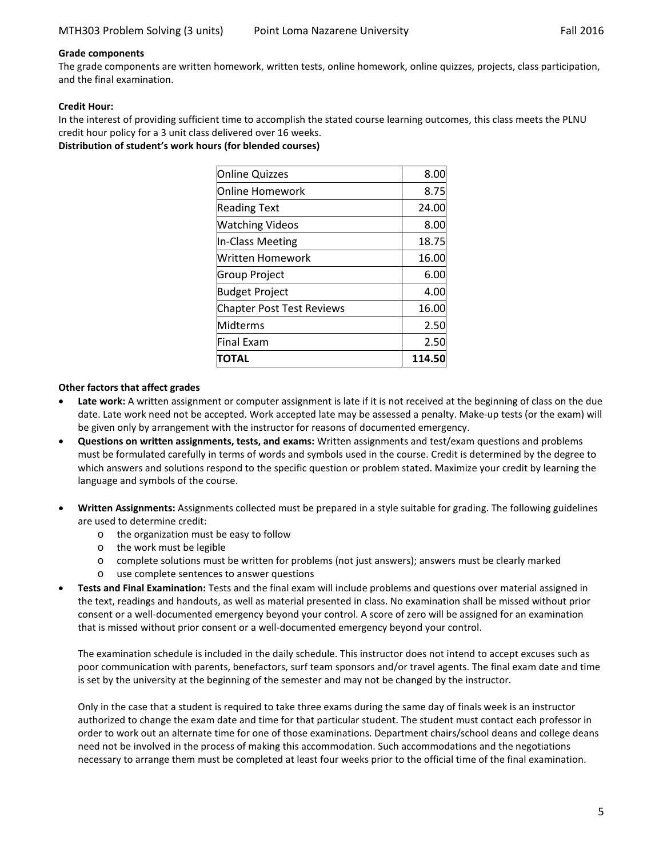## **Grade components**

The grade components are written homework, written tests, online homework, online quizzes, projects, class participation, and the final examination.

# **Credit Hour:**

In the interest of providing sufficient time to accomplish the stated course learning outcomes, this class meets the PLNU credit hour policy for a 3 unit class delivered over 16 weeks.

<span id="page-4-0"></span>**Distribution of student's work hours (for blended courses)**

| ΠΟΤΑL                            | 114.50 |
|----------------------------------|--------|
| <b>Final Exam</b>                | 2.50   |
| Midterms                         | 2.50   |
| <b>Chapter Post Test Reviews</b> | 16.00  |
| <b>Budget Project</b>            | 4.00   |
| <b>Group Project</b>             | 6.00   |
| Written Homework                 | 16.00  |
| In-Class Meeting                 | 18.75  |
| <b>Watching Videos</b>           | 8.00   |
| <b>Reading Text</b>              | 24.00  |
| Online Homework                  | 8.75   |
| <b>Online Quizzes</b>            | 8.00   |

## **Other factors that affect grades**

- Late work: A written assignment or computer assignment is late if it is not received at the beginning of class on the due date. Late work need not be accepted. Work accepted late may be assessed a penalty. Make-up tests (or the exam) will be given only by arrangement with the instructor for reasons of documented emergency.
- **Questions on written assignments, tests, and exams:** Written assignments and test/exam questions and problems must be formulated carefully in terms of words and symbols used in the course. Credit is determined by the degree to which answers and solutions respond to the specific question or problem stated. Maximize your credit by learning the language and symbols of the course.
- **Written Assignments:** Assignments collected must be prepared in a style suitable for grading. The following guidelines are used to determine credit:
	- o the organization must be easy to follow
	- o the work must be legible
	- o complete solutions must be written for problems (not just answers); answers must be clearly marked
	- o use complete sentences to answer questions
- **Tests and Final Examination:** Tests and the final exam will include problems and questions over material assigned in the text, readings and handouts, as well as material presented in class. No examination shall be missed without prior consent or a well-documented emergency beyond your control. A score of zero will be assigned for an examination that is missed without prior consent or a well-documented emergency beyond your control.

The examination schedule is included in the daily schedule. This instructor does not intend to accept excuses such as poor communication with parents, benefactors, surf team sponsors and/or travel agents. The final exam date and time is set by the university at the beginning of the semester and may not be changed by the instructor.

Only in the case that a student is required to take three exams during the same day of finals week is an instructor authorized to change the exam date and time for that particular student. The student must contact each professor in order to work out an alternate time for one of those examinations. Department chairs/school deans and college deans need not be involved in the process of making this accommodation. Such accommodations and the negotiations necessary to arrange them must be completed at least four weeks prior to the official time of the final examination.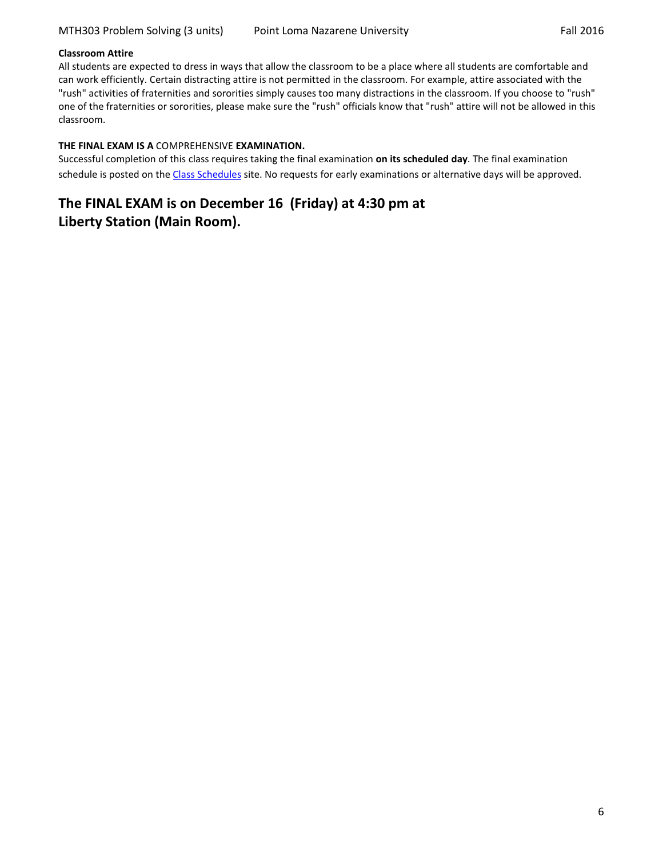## <span id="page-5-0"></span>**Classroom Attire**

All students are expected to dress in ways that allow the classroom to be a place where all students are comfortable and can work efficiently. Certain distracting attire is not permitted in the classroom. For example, attire associated with the "rush" activities of fraternities and sororities simply causes too many distractions in the classroom. If you choose to "rush" one of the fraternities or sororities, please make sure the "rush" officials know that "rush" attire will not be allowed in this classroom.

## <span id="page-5-1"></span>**THE FINAL EXAM IS A** COMPREHENSIVE **EXAMINATION.**

Successful completion of this class requires taking the final examination **on its scheduled day**. The final examination schedule is posted on the [Class Schedules](http://www.pointloma.edu/experience/academics/class-schedules) site. No requests for early examinations or alternative days will be approved.

# **The FINAL EXAM is on December 16 (Friday) at 4:30 pm at Liberty Station (Main Room).**